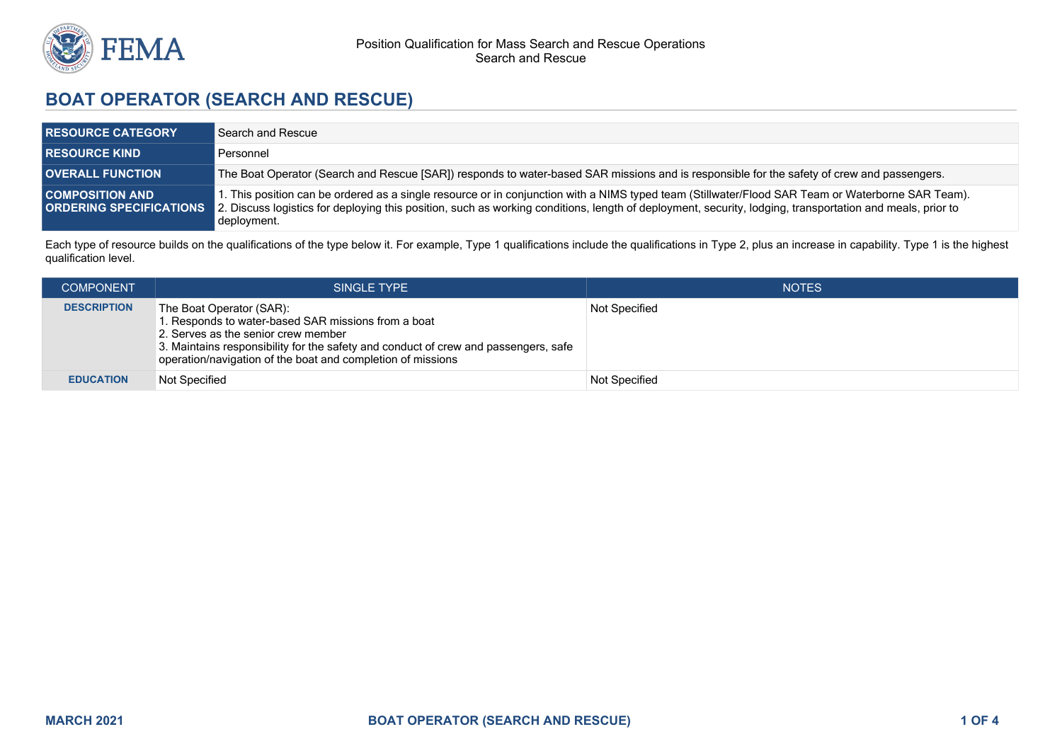

## **BOAT OPERATOR (SEARCH AND RESCUE)**

| <b>RESOURCE CATEGORY</b>                                 | Search and Rescue                                                                                                                                                                                                                                                                                                             |
|----------------------------------------------------------|-------------------------------------------------------------------------------------------------------------------------------------------------------------------------------------------------------------------------------------------------------------------------------------------------------------------------------|
| <b>RESOURCE KIND</b>                                     | Personnel                                                                                                                                                                                                                                                                                                                     |
| <b>OVERALL FUNCTION</b>                                  | The Boat Operator (Search and Rescue [SAR]) responds to water-based SAR missions and is responsible for the safety of crew and passengers.                                                                                                                                                                                    |
| <b>COMPOSITION AND</b><br><b>ORDERING SPECIFICATIONS</b> | 1. This position can be ordered as a single resource or in conjunction with a NIMS typed team (Stillwater/Flood SAR Team or Waterborne SAR Team).<br>2. Discuss logistics for deploying this position, such as working conditions, length of deployment, security, lodging, transportation and meals, prior to<br>deployment. |

Each type of resource builds on the qualifications of the type below it. For example, Type 1 qualifications include the qualifications in Type 2, plus an increase in capability. Type 1 is the highest qualification level.

| <b>COMPONENT</b>   | SINGLE TYPE                                                                                                                                                                                                                                                                  | <b>NOTES</b>  |
|--------------------|------------------------------------------------------------------------------------------------------------------------------------------------------------------------------------------------------------------------------------------------------------------------------|---------------|
| <b>DESCRIPTION</b> | The Boat Operator (SAR):<br>1. Responds to water-based SAR missions from a boat<br>2. Serves as the senior crew member<br>3. Maintains responsibility for the safety and conduct of crew and passengers, safe<br>operation/navigation of the boat and completion of missions | Not Specified |
| <b>EDUCATION</b>   | Not Specified                                                                                                                                                                                                                                                                | Not Specified |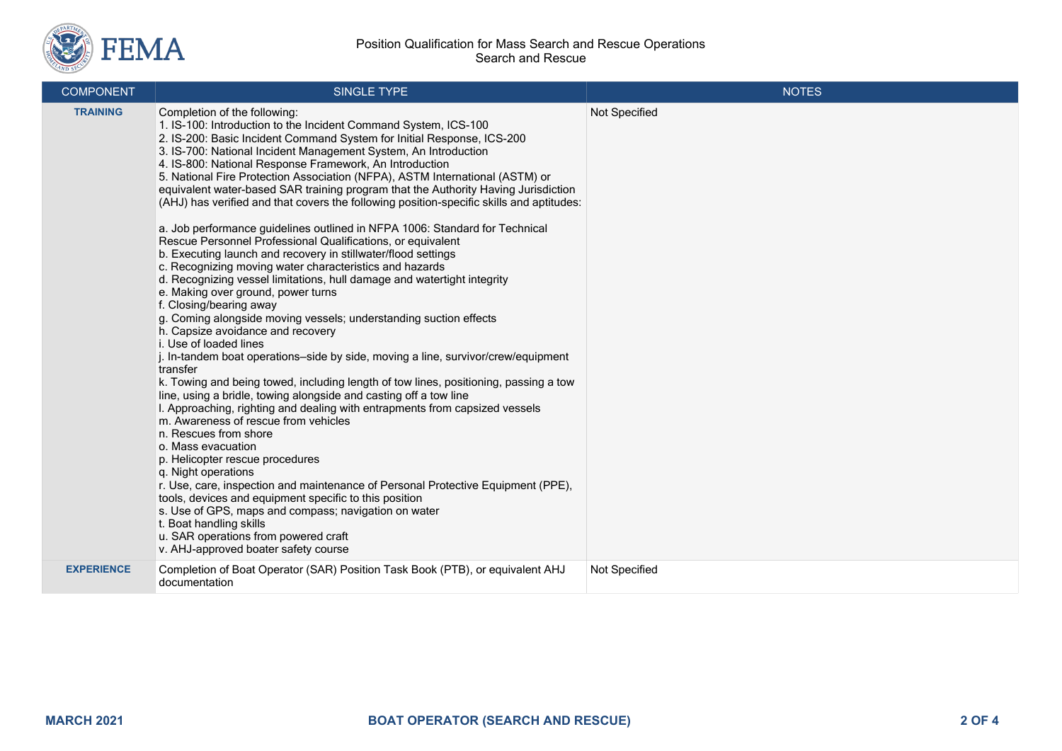

| <b>COMPONENT</b>  | SINGLE TYPE                                                                                                                                                                                                                                                                                                                                                                                                                                                                                                                                                                                                                                                                                                                                                                                                                                                                                                                                                                                                                                                                                                                                                                                                                                                                                                                                                                                                                                                                                                                                                                                                                                                                                                                                                                                                                                                                                                                                        | <b>NOTES</b>  |
|-------------------|----------------------------------------------------------------------------------------------------------------------------------------------------------------------------------------------------------------------------------------------------------------------------------------------------------------------------------------------------------------------------------------------------------------------------------------------------------------------------------------------------------------------------------------------------------------------------------------------------------------------------------------------------------------------------------------------------------------------------------------------------------------------------------------------------------------------------------------------------------------------------------------------------------------------------------------------------------------------------------------------------------------------------------------------------------------------------------------------------------------------------------------------------------------------------------------------------------------------------------------------------------------------------------------------------------------------------------------------------------------------------------------------------------------------------------------------------------------------------------------------------------------------------------------------------------------------------------------------------------------------------------------------------------------------------------------------------------------------------------------------------------------------------------------------------------------------------------------------------------------------------------------------------------------------------------------------------|---------------|
| <b>TRAINING</b>   | Completion of the following:<br>1. IS-100: Introduction to the Incident Command System, ICS-100<br>2. IS-200: Basic Incident Command System for Initial Response, ICS-200<br>3. IS-700: National Incident Management System, An Introduction<br>4. IS-800: National Response Framework, An Introduction<br>5. National Fire Protection Association (NFPA), ASTM International (ASTM) or<br>equivalent water-based SAR training program that the Authority Having Jurisdiction<br>(AHJ) has verified and that covers the following position-specific skills and aptitudes:<br>a. Job performance guidelines outlined in NFPA 1006: Standard for Technical<br>Rescue Personnel Professional Qualifications, or equivalent<br>b. Executing launch and recovery in stillwater/flood settings<br>c. Recognizing moving water characteristics and hazards<br>d. Recognizing vessel limitations, hull damage and watertight integrity<br>e. Making over ground, power turns<br>f. Closing/bearing away<br>g. Coming alongside moving vessels; understanding suction effects<br>h. Capsize avoidance and recovery<br>i. Use of loaded lines<br>j. In-tandem boat operations-side by side, moving a line, survivor/crew/equipment<br>transfer<br>k. Towing and being towed, including length of tow lines, positioning, passing a tow<br>line, using a bridle, towing alongside and casting off a tow line<br>I. Approaching, righting and dealing with entrapments from capsized vessels<br>m. Awareness of rescue from vehicles<br>n. Rescues from shore<br>o. Mass evacuation<br>p. Helicopter rescue procedures<br>q. Night operations<br>r. Use, care, inspection and maintenance of Personal Protective Equipment (PPE),<br>tools, devices and equipment specific to this position<br>s. Use of GPS, maps and compass; navigation on water<br>t. Boat handling skills<br>u. SAR operations from powered craft<br>v. AHJ-approved boater safety course | Not Specified |
| <b>EXPERIENCE</b> | Completion of Boat Operator (SAR) Position Task Book (PTB), or equivalent AHJ<br>documentation                                                                                                                                                                                                                                                                                                                                                                                                                                                                                                                                                                                                                                                                                                                                                                                                                                                                                                                                                                                                                                                                                                                                                                                                                                                                                                                                                                                                                                                                                                                                                                                                                                                                                                                                                                                                                                                     | Not Specified |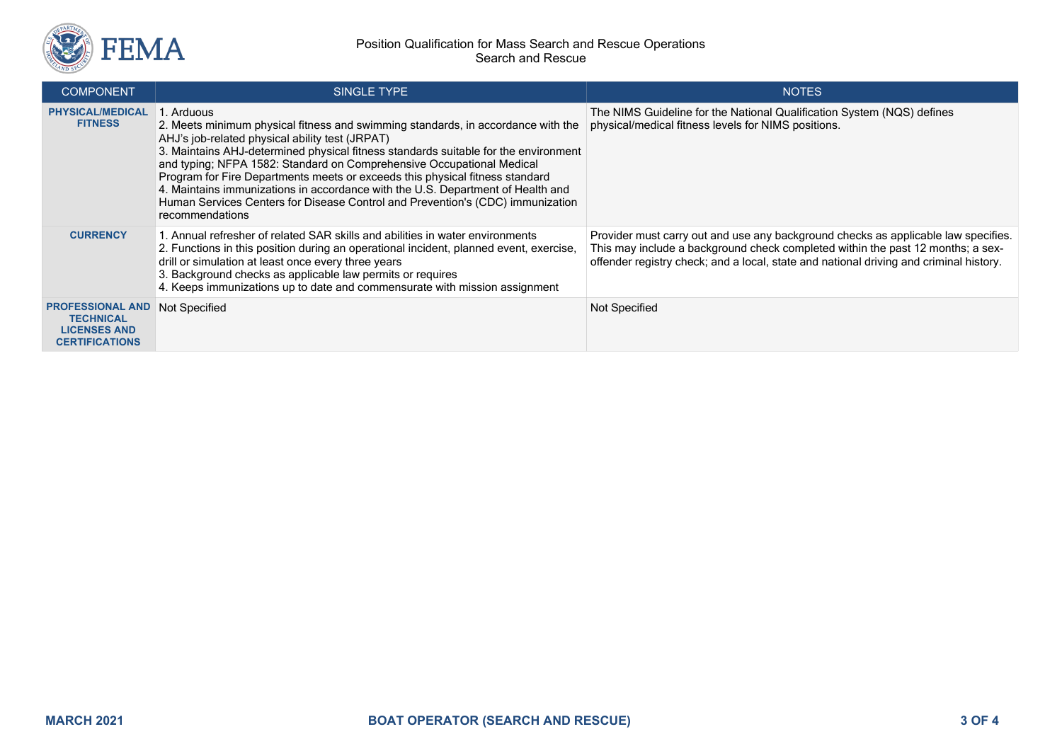

## Position Qualification for Mass Search and Rescue Operations Search and Rescue

| <b>COMPONENT</b>                                                                            | SINGLE TYPE                                                                                                                                                                                                                                                                                                                                                                                                                                                                                                                                                                              | <b>NOTES</b>                                                                                                                                                                                                                                                    |
|---------------------------------------------------------------------------------------------|------------------------------------------------------------------------------------------------------------------------------------------------------------------------------------------------------------------------------------------------------------------------------------------------------------------------------------------------------------------------------------------------------------------------------------------------------------------------------------------------------------------------------------------------------------------------------------------|-----------------------------------------------------------------------------------------------------------------------------------------------------------------------------------------------------------------------------------------------------------------|
| <b>PHYSICAL/MEDICAL</b><br><b>FITNESS</b>                                                   | . Arduous<br>2. Meets minimum physical fitness and swimming standards, in accordance with the<br>AHJ's job-related physical ability test (JRPAT)<br>3. Maintains AHJ-determined physical fitness standards suitable for the environment<br>and typing; NFPA 1582: Standard on Comprehensive Occupational Medical<br>Program for Fire Departments meets or exceeds this physical fitness standard<br>4. Maintains immunizations in accordance with the U.S. Department of Health and<br>Human Services Centers for Disease Control and Prevention's (CDC) immunization<br>recommendations | The NIMS Guideline for the National Qualification System (NQS) defines<br>physical/medical fitness levels for NIMS positions.                                                                                                                                   |
| <b>CURRENCY</b>                                                                             | 1. Annual refresher of related SAR skills and abilities in water environments<br>2. Functions in this position during an operational incident, planned event, exercise,<br>drill or simulation at least once every three years<br>3. Background checks as applicable law permits or requires<br>4. Keeps immunizations up to date and commensurate with mission assignment                                                                                                                                                                                                               | Provider must carry out and use any background checks as applicable law specifies.<br>This may include a background check completed within the past 12 months; a sex-<br>offender registry check; and a local, state and national driving and criminal history. |
| <b>PROFESSIONAL AND</b><br><b>TECHNICAL</b><br><b>LICENSES AND</b><br><b>CERTIFICATIONS</b> | Not Specified                                                                                                                                                                                                                                                                                                                                                                                                                                                                                                                                                                            | <b>Not Specified</b>                                                                                                                                                                                                                                            |